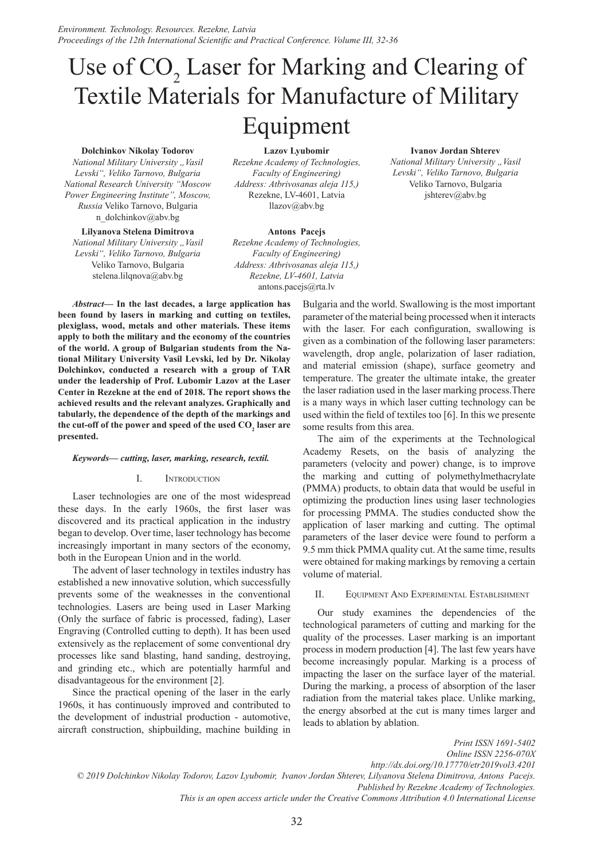# Use of  $CO<sub>2</sub>$  Laser for Marking and Clearing of Textile Materials for Manufacture of Military Equipment

#### **Dolchinkov Nikolay Todorov**

*National Military University "Vasil Levski", Veliko Tarnovo, Bulgaria National Research University "Moscow Power Engineering Institute", Moscow, Russia* Veliko Tarnovo, Bulgaria n\_dolchinkov@abv.bg

**Lilyanova Stelena Dimitrova**  *National Military University "Vasil Levski", Veliko Tarnovo, Bulgaria* Veliko Tarnovo, Bulgaria stelena.lilqnova@abv.bg

**Lazov Lyubomir**

*Rezekne Academy of Technologies, Faculty of Engineering) Address: Atbrivosanas aleja 115,)* Rezekne, LV-4601, Latvia llazov@abv.bg

**Antons Pacejs**

*Rezekne Academy of Technologies, Faculty of Engineering) Address: Atbrivosanas aleja 115,) Rezekne, LV-4601, Latvia* antons.pacejs@rta.lv

*Abstract—* **In the last decades, a large application has been found by lasers in marking and cutting on textiles, plexiglass, wood, metals and other materials. These items apply to both the military and the economy of the countries of the world. A group of Bulgarian students from the National Military University Vasil Levski, led by Dr. Nikolay Dolchinkov, conducted a research with a group of TAR under the leadership of Prof. Lubomir Lazov at the Laser Center in Rezekne at the end of 2018. The report shows the achieved results and the relevant analyzes. Graphically and tabularly, the dependence of the depth of the markings and**  the cut-off of the power and speed of the used  $\mathrm{CO}_2^{}$  laser are **presented.**

#### *Keywords— cutting, laser, marking, research, textil.*

#### I. Introduction

Laser technologies are one of the most widespread these days. In the early 1960s, the first laser was discovered and its practical application in the industry began to develop. Over time, laser technology has become increasingly important in many sectors of the economy, both in the European Union and in the world.

The advent of laser technology in textiles industry has established a new innovative solution, which successfully prevents some of the weaknesses in the conventional technologies. Lasers are being used in Laser Marking (Only the surface of fabric is processed, fading), Laser Engraving (Controlled cutting to depth). It has been used extensively as the replacement of some conventional dry processes like sand blasting, hand sanding, destroying, and grinding etc., which are potentially harmful and disadvantageous for the environment [2].

Since the practical opening of the laser in the early 1960s, it has continuously improved and contributed to the development of industrial production - automotive, aircraft construction, shipbuilding, machine building in

Bulgaria and the world. Swallowing is the most important parameter of the material being processed when it interacts with the laser. For each configuration, swallowing is given as a combination of the following laser parameters: wavelength, drop angle, polarization of laser radiation, and material emission (shape), surface geometry and temperature. The greater the ultimate intake, the greater the laser radiation used in the laser marking process.There is a many ways in which laser cutting technology can be used within the field of textiles too [6]. In this we presente some results from this area.

The aim of the experiments at the Technological Academy Resets, on the basis of analyzing the parameters (velocity and power) change, is to improve the marking and cutting of polymethylmethacrylate (PMMA) products, to obtain data that would be useful in optimizing the production lines using laser technologies for processing PMMA. The studies conducted show the application of laser marking and cutting. The optimal parameters of the laser device were found to perform a 9.5 mm thick PMMA quality cut. At the same time, results were obtained for making markings by removing a certain volume of material.

#### II. Equipment And Experimental Establishment

Our study examines the dependencies of the technological parameters of cutting and marking for the quality of the processes. Laser marking is an important process in modern production [4]. The last few years have become increasingly popular. Marking is a process of impacting the laser on the surface layer of the material. During the marking, a process of absorption of the laser radiation from the material takes place. Unlike marking, the energy absorbed at the cut is many times larger and leads to ablation by ablation.

*Print ISSN 1691-5402*

*Online ISSN 2256-070X http://dx.doi.org/10.17770/etr2019vol3.4201 © 2019 Dolchinkov Nikolay Todorov, Lazov Lyubomir, Ivanov Jordan Shterev, Lilyanova Stelena Dimitrova, Antons Pacejs. Published by Rezekne Academy of Technologies. This is an open access article under the Creative Commons Attribution 4.0 International License*

**Ivanov Jordan Shterev**

*National Military University " Vasil Levski", Veliko Tarnovo, Bulgaria* Veliko Tarnovo, Bulgaria jshterev@abv.bg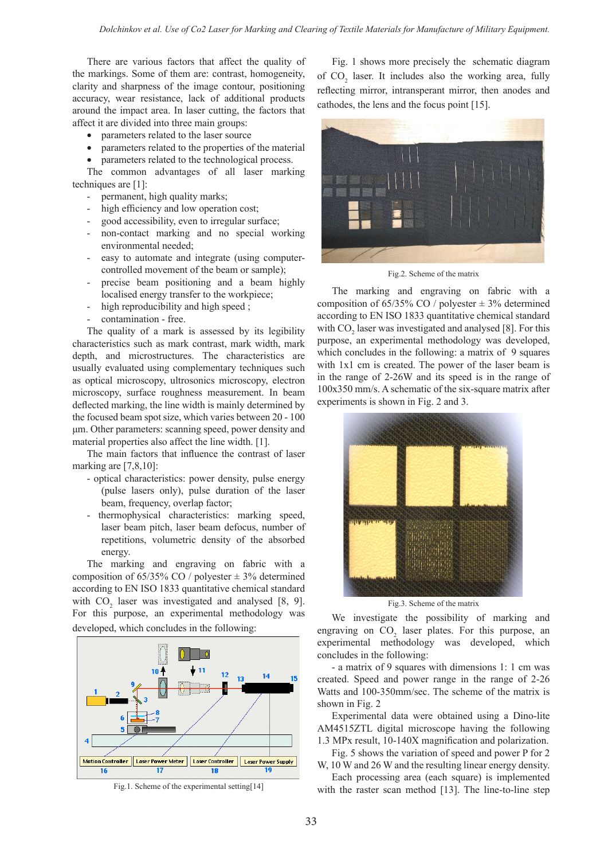There are various factors that affect the quality of the markings. Some of them are: contrast, homogeneity, clarity and sharpness of the image contour, positioning accuracy, wear resistance, lack of additional products around the impact area. In laser cutting, the factors that affect it are divided into three main groups:

- parameters related to the laser source
- parameters related to the properties of the material
- parameters related to the technological process.

The common advantages of all laser marking techniques are [1]:

- permanent, high quality marks;
- high efficiency and low operation cost;
- good accessibility, even to irregular surface;
- non-contact marking and no special working environmental needed;
- easy to automate and integrate (using computercontrolled movement of the beam or sample);
- precise beam positioning and a beam highly localised energy transfer to the workpiece;
- high reproducibility and high speed;
- contamination free.

The quality of a mark is assessed by its legibility characteristics such as mark contrast, mark width, mark depth, and microstructures. The characteristics are usually evaluated using complementary techniques such as optical microscopy, ultrosonics microscopy, electron microscopy, surface roughness measurement. In beam deflected marking, the line width is mainly determined by the focused beam spot size, which varies between 20 - 100 μm. Other parameters: scanning speed, power density and material properties also affect the line width. [1].

The main factors that influence the contrast of laser marking are [7,8,10]:

- optical characteristics: power density, pulse energy (pulse lasers only), pulse duration of the laser beam, frequency, overlap factor;
- thermophysical characteristics: marking speed, laser beam pitch, laser beam defocus, number of repetitions, volumetric density of the absorbed energy.

The marking and engraving on fabric with a composition of  $65/35\%$  CO / polyester  $\pm$  3% determined according to EN ISO 1833 quantitative chemical standard with  $CO_2$  laser was investigated and analysed [8, 9]. For this purpose, an experimental methodology was developed, which concludes in the following:



Fig.1. Scheme of the experimental setting[14]

Fig. 1 shows more precisely the schematic diagram of  $CO<sub>2</sub>$  laser. It includes also the working area, fully reflecting mirror, intransperant mirror, then anodes and cathodes, the lens and the focus point [15].



Fig.2. Scheme of the matrix

The marking and engraving on fabric with a composition of  $65/35\%$  CO / polyester  $\pm$  3% determined according to EN ISO 1833 quantitative chemical standard with  $CO_2$  laser was investigated and analysed [8]. For this purpose, an experimental methodology was developed, which concludes in the following: a matrix of 9 squares with 1x1 cm is created. The power of the laser beam is in the range of 2-26W and its speed is in the range of 100х350 mm/s. A schematic of the six-square matrix after experiments is shown in Fig. 2 and 3.



Fig.3. Scheme of the matrix

We investigate the possibility of marking and engraving on  $CO<sub>2</sub>$  laser plates. For this purpose, an experimental methodology was developed, which concludes in the following:

- a matrix of 9 squares with dimensions 1: 1 cm was created. Speed and power range in the range of 2-26 Watts and 100-350mm/sec. The scheme of the matrix is shown in Fig. 2

Experimental data were obtained using a Dino-lite AM4515ZTL digital microscope having the following 1.3 MPx result, 10-140X magnification and polarization.

Fig. 5 shows the variation of speed and power P for 2 W, 10 W and 26 W and the resulting linear energy density.

Each processing area (each square) is implemented with the raster scan method [13]. The line-to-line step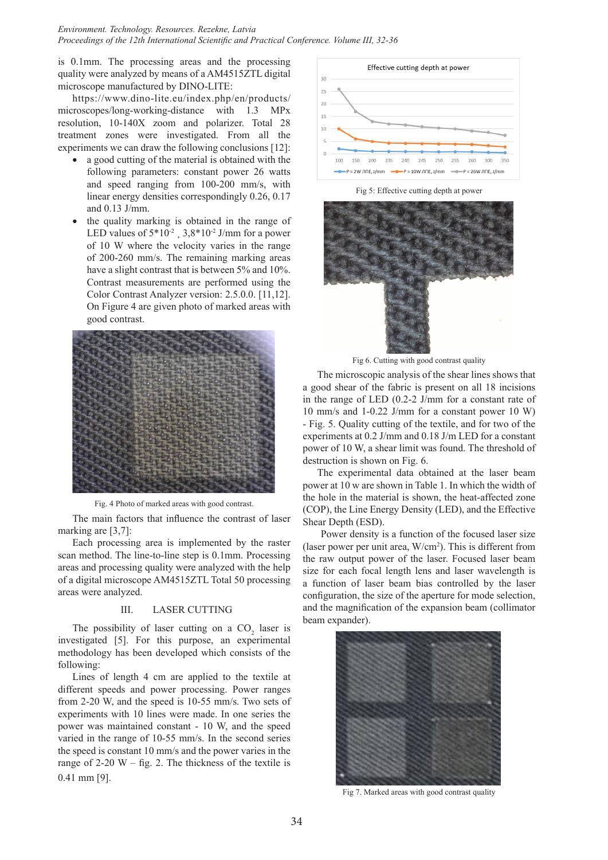*Environment. Technology. Resources. Rezekne, Latvia Proceedings of the 12th International Scientific and Practical Conference. Volume III, 32-36*

is 0.1mm. The processing areas and the processing quality were analyzed by means of a AM4515ZTL digital microscope manufactured by DINO-LITE:

https://www.dino-lite.eu/index.php/en/products/ microscopes/long-working-distance with 1.3 MPx resolution, 10-140X zoom and polarizer. Total 28 treatment zones were investigated. From all the experiments we can draw the following conclusions [12]:

- a good cutting of the material is obtained with the following parameters: constant power 26 watts and speed ranging from 100-200 mm/s, with linear energy densities correspondingly 0.26, 0.17 and 0.13 J/mm.
- the quality marking is obtained in the range of LED values of  $5*10^{-2}$ ,  $3.8*10^{-2}$  J/mm for a power of 10 W where the velocity varies in the range of 200-260 mm/s. The remaining marking areas have a slight contrast that is between 5% and 10%. Contrast measurements are performed using the Color Contrast Analyzer version: 2.5.0.0. [11,12]. On Figure 4 are given photo of marked areas with good contrast.



Fig. 4 Photo of marked areas with good contrast.

The main factors that influence the contrast of laser marking are [3,7]:

Each processing area is implemented by the raster scan method. The line-to-line step is 0.1mm. Processing areas and processing quality were analyzed with the help of a digital microscope AM4515ZTL Total 50 processing areas were analyzed.

### III. LASER CUTTING

The possibility of laser cutting on a  $CO<sub>2</sub>$  laser is investigated [5]. For this purpose, an experimental methodology has been developed which consists of the following:

Lines of length 4 cm are applied to the textile at different speeds and power processing. Power ranges from 2-20 W, and the speed is 10-55 mm/s. Two sets of experiments with 10 lines were made. In one series the power was maintained constant - 10 W, and the speed varied in the range of 10-55 mm/s. In the second series the speed is constant 10 mm/s and the power varies in the range of  $2-20$  W – fig. 2. The thickness of the textile is 0.41 mm [9].



Fig 5: Effective cutting depth at power



Fig 6. Cutting with good contrast quality

The microscopic analysis of the shear lines shows that a good shear of the fabric is present on all 18 incisions in the range of LED (0.2-2 J/mm for a constant rate of 10 mm/s and 1-0.22 J/mm for a constant power 10 W) - Fig. 5. Quality cutting of the textile, and for two of the experiments at 0.2 J/mm and 0.18 J/m LED for a constant power of 10 W, a shear limit was found. The threshold of destruction is shown on Fig. 6.

The experimental data obtained at the laser beam power at 10 w are shown in Table 1. In which the width of the hole in the material is shown, the heat-affected zone (COP), the Line Energy Density (LED), and the Effective Shear Depth (ESD).

Power density is a function of the focused laser size (laser power per unit area, W/cm2 ). This is different from the raw output power of the laser. Focused laser beam size for each focal length lens and laser wavelength is a function of laser beam bias controlled by the laser configuration, the size of the aperture for mode selection, and the magnification of the expansion beam (collimator beam expander).



Fig 7. Marked areas with good contrast quality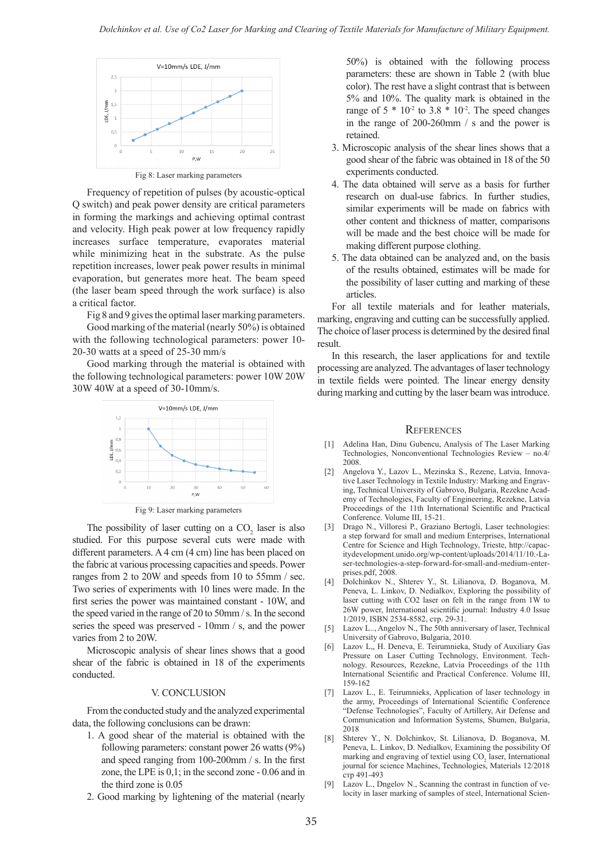

Frequency of repetition of pulses (by acoustic-optical Q switch) and peak power density are critical parameters in forming the markings and achieving optimal contrast and velocity. High peak power at low frequency rapidly increases surface temperature, evaporates material while minimizing heat in the substrate. As the pulse repetition increases, lower peak power results in minimal evaporation, but generates more heat. The beam speed (the laser beam speed through the work surface) is also a critical factor.

Fig 8 and 9 gives the optimal laser marking parameters. Good marking of the material (nearly 50%) is obtained with the following technological parameters: power 10-

20-30 watts at a speed of 25-30 mm/s Good marking through the material is obtained with the following technological parameters: power 10W 20W



Fig 9: Laser marking parameters

The possibility of laser cutting on a  $CO<sub>2</sub>$  laser is also studied. For this purpose several cuts were made with different parameters. A 4 cm (4 cm) line has been placed on the fabric at various processing capacities and speeds. Power ranges from 2 to 20W and speeds from 10 to 55mm / sec. Two series of experiments with 10 lines were made. In the first series the power was maintained constant - 10W, and the speed varied in the range of 20 to 50mm / s. In the second series the speed was preserved - 10mm / s, and the power varies from 2 to 20W.

Microscopic analysis of shear lines shows that a good shear of the fabric is obtained in 18 of the experiments conducted.

#### V. CONCLUSION

From the conducted study and the analyzed experimental data, the following conclusions can be drawn:

- 1. A good shear of the material is obtained with the following parameters: constant power 26 watts (9%) and speed ranging from 100-200mm / s. In the first zone, the LPE is 0,1; in the second zone - 0.06 and in the third zone is 0.05
- 2. Good marking by lightening of the material (nearly

50%) is obtained with the following process parameters: these are shown in Table 2 (with blue color). The rest have a slight contrast that is between 5% and 10%. The quality mark is obtained in the range of  $5 * 10<sup>2</sup>$  to  $3.8 * 10<sup>2</sup>$ . The speed changes in the range of 200-260mm / s and the power is retained.

- 3. Microscopic analysis of the shear lines shows that a good shear of the fabric was obtained in 18 of the 50 experiments conducted.
- 4. The data obtained will serve as a basis for further research on dual-use fabrics. In further studies, similar experiments will be made on fabrics with other content and thickness of matter, comparisons will be made and the best choice will be made for making different purpose clothing.
- 5. The data obtained can be analyzed and, on the basis of the results obtained, estimates will be made for the possibility of laser cutting and marking of these articles.

For all textile materials and for leather materials, marking, engraving and cutting can be successfully applied. The choice of laser process is determined by the desired final result.

In this research, the laser applications for and textile processing are analyzed. The advantages of laser technology in textile fields were pointed. The linear energy density during marking and cutting by the laser beam was introduce.

#### **REFERENCES**

- [1] Adelina Han, Dinu Gubencu, Analysis of The Laser Marking Technologies, Nonconventional Technologies Review – no.4/ 2008.
- [2] Angelova Y., Lazov L., Mezinska S., Rezene, Latvia, Innovative Laser Technology in Textile Industry: Marking and Engraving, Technical University of Gabrovo, Bulgaria, Rezekne Academy of Technologies, Faculty of Engineering, Rezekne, Latvia Proceedings of the 11th International Scientific and Practical Conference. Volume III, 15-21.
- [3] Drago N., Villoresi P., Graziano Bertogli, Laser technologies: a step forward for small and medium Enterprises, International Centre for Science and High Technology, Trieste, http://capacitydevelopment.unido.org/wp-content/uploads/2014/11/10.-Laser-technologies-a-step-forward-for-small-and-medium-enterprises.pdf, 2008.
- [4] Dolchinkov N., Shterev Y., St. Lilianova, D. Boganova, M. Peneva, L. Linkov, D. Nedialkov, Exploring the possibility of laser cutting with CO2 laser on felt in the range from 1W to 26W power, International scientific journal: Industry 4.0 Issue 1/2019, ISBN 2534-8582, стр. 29-31.
- [5] Lazov L.., Angelov N., The 50th anniversary of laser, Technical University of Gabrovo, Bulgaria, 2010.
- [6] Lazov L,, H. Deneva, E. Teirumnieka, Study of Auxiliary Gas Pressure on Laser Cutting Technology, Environment. Technology. Resources, Rezekne, Latvia Proceedings of the 11th International Scientific and Practical Conference. Volume III, 159-162
- [7] Lazov L., E. Teirumnieks, Application of laser technology in the army, Proceedings of International Scientific Conference "Defense Technologies", Faculty of Artillery, Air Defense and Communication and Information Systems, Shumen, Bulgaria, 2018
- [8] Shterev Y., N. Dolchinkov, St. Lilianova, D. Boganova, M. Peneva, L. Linkov, D. Nedialkov, Еxamining the possibility Of marking and engraving of textiel using  $CO<sub>2</sub>$  laser, International journal for science Machines, Technologies, Materials 12/2018 стр 491-493
- [9] Lazov L., Dngelov N., Scanning the contrast in function of velocity in laser marking of samples of steel, International Scien-